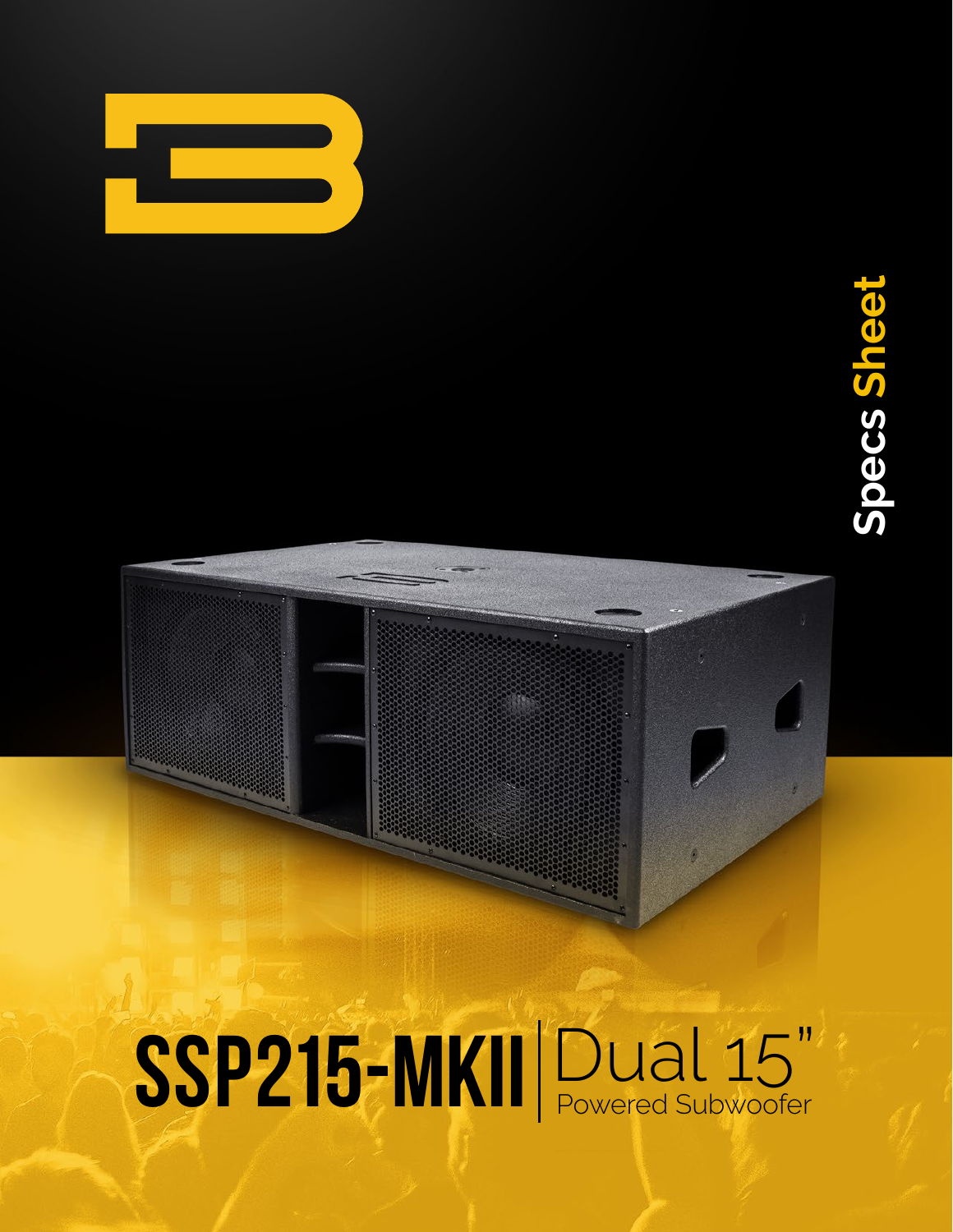

# **Specs Sheet Specs Sheet**

## SSP215-MKII Dual 15"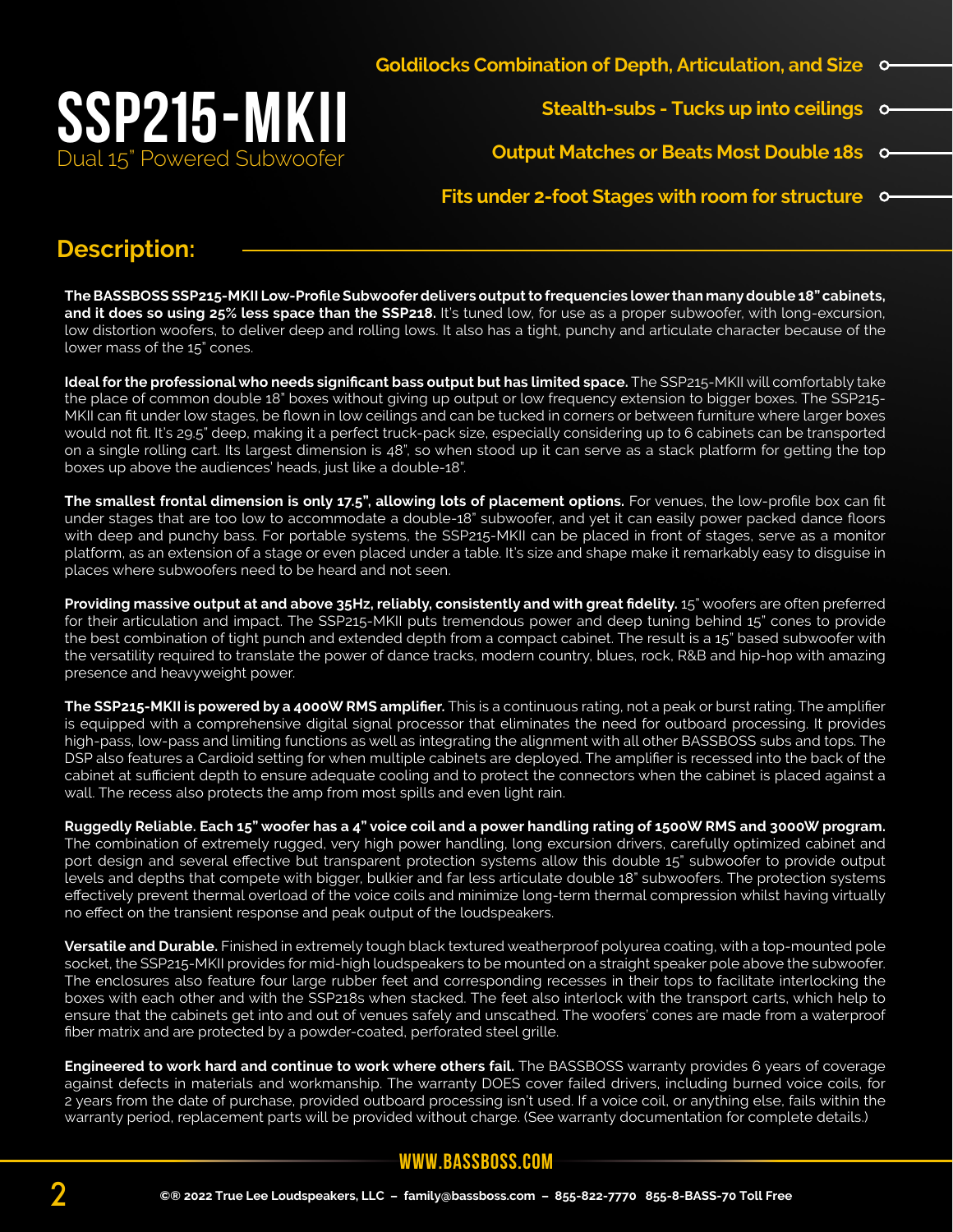

 **Stealth-subs - Tucks up into ceilings**  $\circ$ 

**Output Matches or Beats Most Double 18s**

**Fits under 2-foot Stages with room for structure**

#### **Description:**

**The BASSBOSS SSP215-MKII Low-Profile Subwoofer delivers output to frequencies lower than many double 18" cabinets, and it does so using 25% less space than the SSP218.** It's tuned low, for use as a proper subwoofer, with long-excursion, low distortion woofers, to deliver deep and rolling lows. It also has a tight, punchy and articulate character because of the lower mass of the 15" cones.

**Ideal for the professional who needs significant bass output but has limited space.** The SSP215-MKII will comfortably take the place of common double 18" boxes without giving up output or low frequency extension to bigger boxes. The SSP215- MKII can fit under low stages, be flown in low ceilings and can be tucked in corners or between furniture where larger boxes would not fit. It's 29.5" deep, making it a perfect truck-pack size, especially considering up to 6 cabinets can be transported on a single rolling cart. Its largest dimension is 48", so when stood up it can serve as a stack platform for getting the top boxes up above the audiences' heads, just like a double-18".

**The smallest frontal dimension is only 17.5", allowing lots of placement options.** For venues, the low-profile box can fit under stages that are too low to accommodate a double-18" subwoofer, and yet it can easily power packed dance floors with deep and punchy bass. For portable systems, the SSP215-MKII can be placed in front of stages, serve as a monitor platform, as an extension of a stage or even placed under a table. It's size and shape make it remarkably easy to disguise in places where subwoofers need to be heard and not seen.

**Providing massive output at and above 35Hz, reliably, consistently and with great fidelity.** 15" woofers are often preferred for their articulation and impact. The SSP215-MKII puts tremendous power and deep tuning behind 15" cones to provide the best combination of tight punch and extended depth from a compact cabinet. The result is a 15" based subwoofer with the versatility required to translate the power of dance tracks, modern country, blues, rock, R&B and hip-hop with amazing presence and heavyweight power.

**The SSP215-MKII is powered by a 4000W RMS amplifier.** This is a continuous rating, not a peak or burst rating. The amplifier is equipped with a comprehensive digital signal processor that eliminates the need for outboard processing. It provides high-pass, low-pass and limiting functions as well as integrating the alignment with all other BASSBOSS subs and tops. The DSP also features a Cardioid setting for when multiple cabinets are deployed. The amplifier is recessed into the back of the cabinet at sufficient depth to ensure adequate cooling and to protect the connectors when the cabinet is placed against a wall. The recess also protects the amp from most spills and even light rain.

**Ruggedly Reliable. Each 15" woofer has a 4" voice coil and a power handling rating of 1500W RMS and 3000W program.**  The combination of extremely rugged, very high power handling, long excursion drivers, carefully optimized cabinet and port design and several effective but transparent protection systems allow this double 15" subwoofer to provide output levels and depths that compete with bigger, bulkier and far less articulate double 18" subwoofers. The protection systems effectively prevent thermal overload of the voice coils and minimize long-term thermal compression whilst having virtually no effect on the transient response and peak output of the loudspeakers.

**Versatile and Durable.** Finished in extremely tough black textured weatherproof polyurea coating, with a top-mounted pole socket, the SSP215-MKII provides for mid-high loudspeakers to be mounted on a straight speaker pole above the subwoofer. The enclosures also feature four large rubber feet and corresponding recesses in their tops to facilitate interlocking the boxes with each other and with the SSP218s when stacked. The feet also interlock with the transport carts, which help to ensure that the cabinets get into and out of venues safely and unscathed. The woofers' cones are made from a waterproof fiber matrix and are protected by a powder-coated, perforated steel grille.

**Engineered to work hard and continue to work where others fail.** The BASSBOSS warranty provides 6 years of coverage against defects in materials and workmanship. The warranty DOES cover failed drivers, including burned voice coils, for 2 years from the date of purchase, provided outboard processing isn't used. If a voice coil, or anything else, fails within the warranty period, replacement parts will be provided without charge. (See warranty documentation for complete details.)

#### **www.bassboss.com**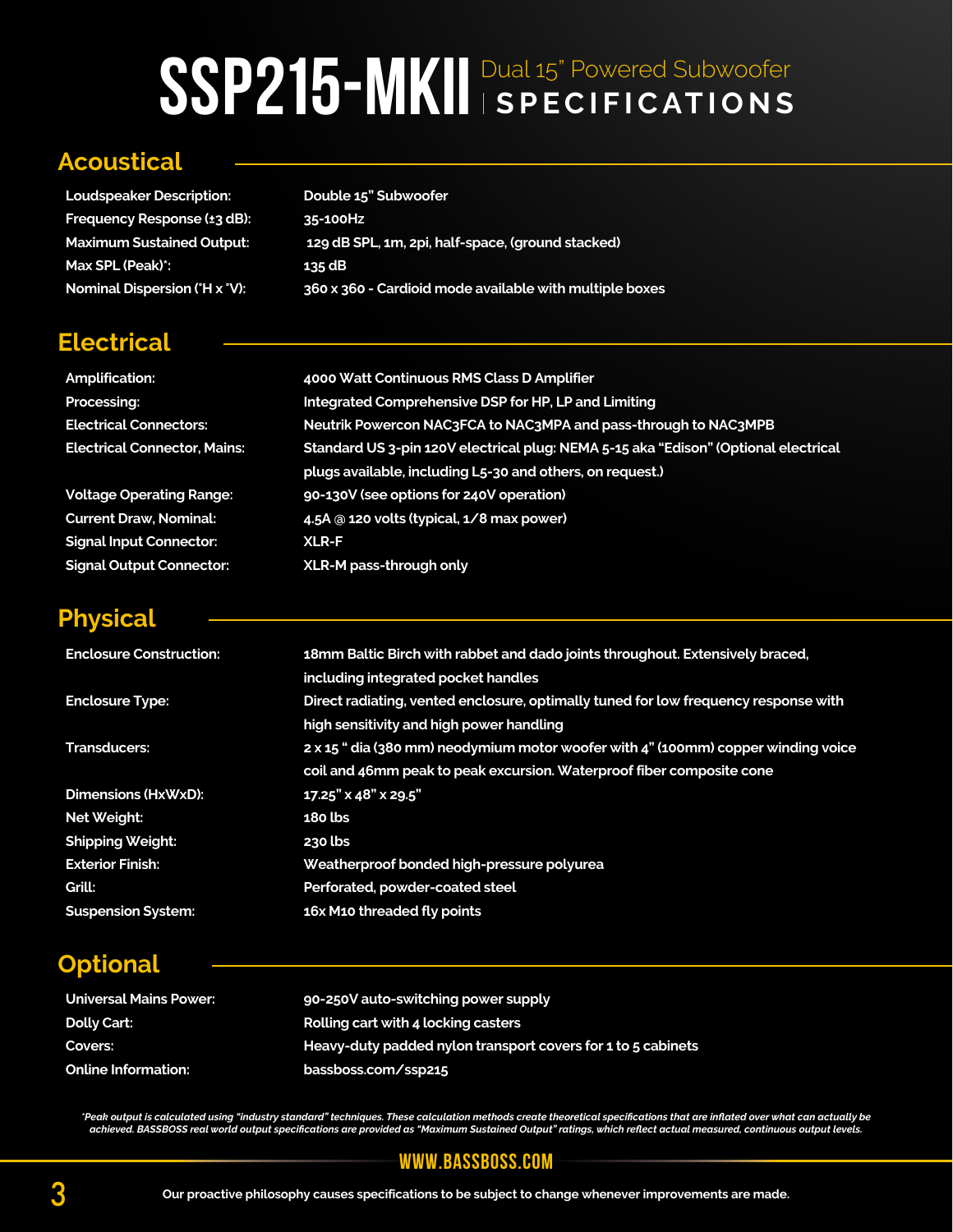### SSP215-MKII Dual 15" Powered Subwoofer

#### **Acoustical**

**Electrical**

| <b>Loudspeaker Description:</b>  | Double 15" Subwoofer                                    |
|----------------------------------|---------------------------------------------------------|
| Frequency Response (±3 dB):      | 35-100Hz                                                |
| <b>Maximum Sustained Output:</b> | 129 dB SPL, 1m, 2pi, half-space, (ground stacked)       |
| Max SPL (Peak)*:                 | 135 dB                                                  |
| Nominal Dispersion (°H x °V):    | 360 x 360 - Cardioid mode available with multiple boxes |

| <b>Amplification:</b>               | 4000 Watt Continuous RMS Class D Amplifier                                          |
|-------------------------------------|-------------------------------------------------------------------------------------|
| Processing:                         | Integrated Comprehensive DSP for HP, LP and Limiting                                |
| <b>Electrical Connectors:</b>       | Neutrik Powercon NAC3FCA to NAC3MPA and pass-through to NAC3MPB                     |
| <b>Electrical Connector, Mains:</b> | Standard US 3-pin 120V electrical plug: NEMA 5-15 aka "Edison" (Optional electrical |
|                                     | plugs available, including L5-30 and others, on request.)                           |
| <b>Voltage Operating Range:</b>     | 90-130V (see options for 240V operation)                                            |
| <b>Current Draw, Nominal:</b>       | 4.5A @ 120 volts (typical, 1/8 max power)                                           |
| <b>Signal Input Connector:</b>      | <b>XLR-F</b>                                                                        |
| <b>Signal Output Connector:</b>     | XLR-M pass-through only                                                             |

#### **Physical**

 $Sign$ 

| <b>Enclosure Construction:</b> | 18mm Baltic Birch with rabbet and dado joints throughout. Extensively braced,<br>including integrated pocket handles                                       |
|--------------------------------|------------------------------------------------------------------------------------------------------------------------------------------------------------|
| <b>Enclosure Type:</b>         | Direct radiating, vented enclosure, optimally tuned for low frequency response with<br>high sensitivity and high power handling                            |
| <b>Transducers:</b>            | 2 x 15 " dia (380 mm) neodymium motor woofer with 4" (100mm) copper winding voice<br>coil and 46mm peak to peak excursion. Waterproof fiber composite cone |
| Dimensions (HxWxD):            | $17.25" \times 48" \times 29.5"$                                                                                                                           |
| Net Weight:                    | $180$ lbs                                                                                                                                                  |
| <b>Shipping Weight:</b>        | $230$ lbs                                                                                                                                                  |
| <b>Exterior Finish:</b>        | Weatherproof bonded high-pressure polyurea                                                                                                                 |
| Grill:                         | Perforated, powder-coated steel                                                                                                                            |
| <b>Suspension System:</b>      | 16x M10 threaded fly points                                                                                                                                |

#### **Optional**

| <b>Universal Mains Power:</b> | 90-250V auto-switching power supply                          |
|-------------------------------|--------------------------------------------------------------|
| Dolly Cart:                   | Rolling cart with 4 locking casters                          |
| Covers:                       | Heavy-duty padded nylon transport covers for 1 to 5 cabinets |
| <b>Online Information:</b>    | bassboss.com/ssp215                                          |

"Peak output is calculated using "industry standard" techniques. These calculation methods create theoretical specifications that are inflated over what can actually be<br>achieved. BASSBOSS real world output specifications a

#### **www.bassboss.com**